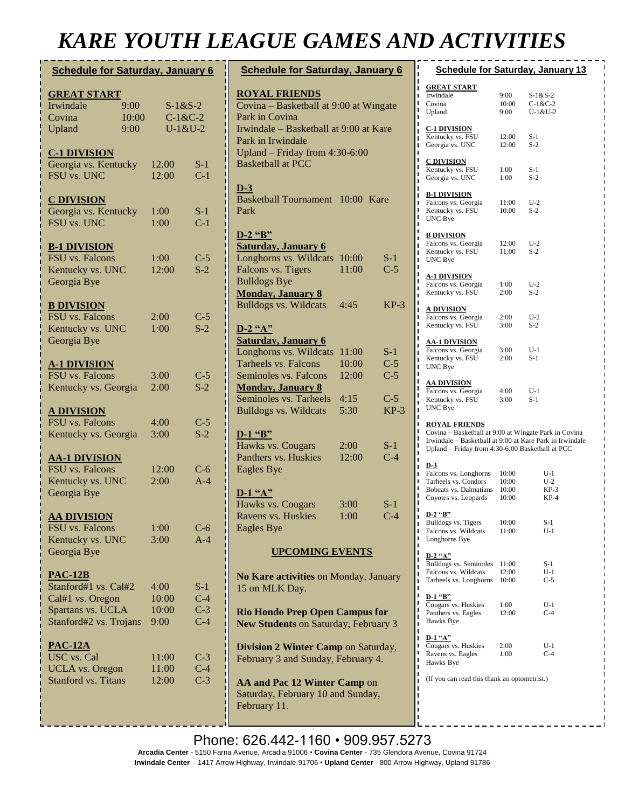# *KARE YOUTH LEAGUE GAMES AND ACTIVITIES*

| <b>Schedule for Saturday, January 6</b>                                                                   |                       |                                |                                       |  |  |
|-----------------------------------------------------------------------------------------------------------|-----------------------|--------------------------------|---------------------------------------|--|--|
| <b>GREAT START</b><br>Irwindale<br>Covina<br>Upland                                                       | 9:00<br>10:00<br>9:00 |                                | $S-1&S-2$<br>$C-1 & C-2$<br>$U-1&U-2$ |  |  |
| <b>C-1 DIVISION</b><br>Georgia vs. Kentucky<br>FSU vs. UNC                                                |                       | 12:00<br>12:00                 | $S-1$<br>$C-1$                        |  |  |
| <b>C DIVISION</b><br>Georgia vs. Kentucky<br>FSU vs. UNC                                                  |                       | 1:00<br>1:00                   | $S-1$<br>$C-1$                        |  |  |
| <b>B-1 DIVISION</b><br><b>FSU</b> vs. Falcons<br>Kentucky vs. UNC<br>Georgia Bye                          |                       | 1:00<br>12:00                  | $C-5$<br>$S-2$                        |  |  |
| <b>B DIVISION</b><br><b>FSU</b> vs. Falcons<br>Kentucky vs. UNC<br>Georgia Bye                            |                       | 2:00<br>1:00                   | $C-5$<br>$S-2$                        |  |  |
| <b>A-1 DIVISION</b><br>FSU vs. Falcons<br>Kentucky vs. Georgia                                            |                       | 3:00<br>2:00                   | $C-5$<br>$S-2$                        |  |  |
| <u>A DIVISION</u><br>FSU vs. Falcons<br>Kentucky vs. Georgia                                              |                       | 4:00<br>3:00                   | $C-5$<br>$S-2$                        |  |  |
| <b>AA-1 DIVISION</b><br>FSU vs. Falcons<br>Kentucky vs. UNC<br>Georgia Bye                                |                       | 12:00<br>2:00                  | $C-6$<br>$A-4$                        |  |  |
| <b>AA DIVISION</b><br>FSU vs. Falcons<br>Kentucky vs. UNC<br>Georgia Bye                                  |                       | 1:00<br>3:00                   | $C-6$<br>$A-4$                        |  |  |
| <b>PAC-12B</b><br>Stanford#1 vs. Cal#2<br>Cal#1 vs. Oregon<br>Spartans vs. UCLA<br>Stanford#2 vs. Trojans |                       | 4:00<br>10:00<br>10:00<br>9:00 | $S-1$<br>$C-4$<br>$C-3$<br>$C-4$      |  |  |
| <b>PAC-12A</b><br>USC vs. Cal<br><b>UCLA</b> vs. Oregon<br><b>Stanford vs. Titans</b>                     |                       | 11:00<br>11:00<br>12:00        | $C-3$<br>$C-4$<br>$C-3$               |  |  |
|                                                                                                           |                       |                                |                                       |  |  |

| <b>Schedule for Saturday, January 6</b>                                                                                                                                                                         |                                         |                                            |  |  |
|-----------------------------------------------------------------------------------------------------------------------------------------------------------------------------------------------------------------|-----------------------------------------|--------------------------------------------|--|--|
| <b>ROYAL FRIENDS</b><br>Covina – Basketball at 9:00 at Wingate<br>Park in Covina<br>Irwindale - Basketball at 9:00 at Kare<br>Park in Irwindale<br>Upland - Friday from 4:30-6:00<br><b>Basketball at PCC</b>   |                                         |                                            |  |  |
| $D-3$<br><b>Basketball Tournament</b><br>Park                                                                                                                                                                   | 10:00 Kare                              |                                            |  |  |
| D-2 "B"<br><b>Saturday, January 6</b><br>Longhorns vs. Wildcats<br>Falcons vs. Tigers<br><b>Bulldogs Bye</b><br><b>Monday, January 8</b><br><b>Bulldogs vs. Wildcats</b>                                        | 10:00<br>11:00<br>4:45                  | $S-1$<br>$C-5$<br>$KP-3$                   |  |  |
| $D-2$ "A"<br><b>Saturday, January 6</b><br>Longhorns vs. Wildcats<br><b>Tarheels vs. Falcons</b><br>Seminoles vs. Falcons<br><b>Monday, January 8</b><br>Seminoles vs. Tarheels<br><b>Bulldogs vs. Wildcats</b> | 11:00<br>10:00<br>12:00<br>4:15<br>5:30 | $S-1$<br>$C-5$<br>$C-5$<br>$C-5$<br>$KP-3$ |  |  |
| $D-1$ "B"<br>Hawks vs. Cougars<br>Panthers vs. Huskies<br><b>Eagles Bye</b>                                                                                                                                     | 2:00<br>12:00                           | $S-1$<br>$C-4$                             |  |  |
| $D-1$ "A"<br>Hawks vs. Cougars<br>Ravens vs. Huskies<br><b>Eagles Bye</b>                                                                                                                                       | 3:00<br>1:00                            | $S-1$<br>$C-4$                             |  |  |
| <b>UPCOMING EVENTS</b>                                                                                                                                                                                          |                                         |                                            |  |  |
| No Kare activities on Monday, January<br>15 on MLK Day.                                                                                                                                                         |                                         |                                            |  |  |
| <b>Rio Hondo Prep Open Campus for</b><br>New Students on Saturday, February 3                                                                                                                                   |                                         |                                            |  |  |
| Division 2 Winter Camp on Saturday,<br>February 3 and Sunday, February 4.                                                                                                                                       |                                         |                                            |  |  |
| AA and Pac 12 Winter Camp on<br>Saturday, February 10 and Sunday,                                                                                                                                               |                                         |                                            |  |  |

|   | <b>Schedule for Saturday, January 13</b><br>Π                                                                                               |                                                                                                                                                                       |                                     |  |  |  |
|---|---------------------------------------------------------------------------------------------------------------------------------------------|-----------------------------------------------------------------------------------------------------------------------------------------------------------------------|-------------------------------------|--|--|--|
|   | Π<br><b>GREAT START</b><br>ı<br>Irwindale<br>П<br>Π<br>Covina<br>ı<br>Upland                                                                | 9:00<br>10:00<br>9:00                                                                                                                                                 | $S-1&S-2$<br>$C-1&C-2$<br>$U-1&U-2$ |  |  |  |
|   | ı<br>ı<br><b>C-1 DIVISION</b><br>ı<br>Kentucky vs. FSU<br>П<br>Georgia vs. UNC<br>ī                                                         | 12:00<br>12:00                                                                                                                                                        | $S-1$<br>$S-2$                      |  |  |  |
|   | ı<br>П<br><b>C DIVISION</b><br>ī<br>Kentucky vs. FSU<br>ı<br>Georgia vs. UNC<br>ī                                                           | 1:00<br>1:00                                                                                                                                                          | S-1<br>$S-2$                        |  |  |  |
|   | ī<br><b>B-1 DIVISION</b><br>ı<br>Falcons vs. Georgia<br>П<br>Π<br>Kentucky vs. FSU<br>Π<br>UNC Bye<br>ī                                     | 11:00<br>10:00                                                                                                                                                        | $U-2$<br>$S-2$                      |  |  |  |
|   | Π<br><b>B DIVISION</b><br>ı<br>Falcons vs. Georgia<br>ı<br>Kentucky vs. FSU<br>Π<br>UNC Bye<br>ı<br>П                                       | 12:00<br>11:00                                                                                                                                                        | $U-2$<br>$S-2$                      |  |  |  |
|   | Π<br><b>A-1 DIVISION</b><br>ı<br>Falcons vs. Georgia<br>ı<br>Kentucky vs. FSU<br>ı                                                          | 1:00<br>2:00                                                                                                                                                          | $U-2$<br>$S-2$                      |  |  |  |
|   | Π<br><u>A DIVISION</u><br>П<br>ī<br>Falcons vs. Georgia<br>ı<br>Kentucky vs. FSU<br>П                                                       | 2:00<br>3:00                                                                                                                                                          | $U-2$<br>$S-2$                      |  |  |  |
|   | ı<br><u>AA-1 DIVISION</u><br>ı<br>Falcons vs. Georgia<br>П<br>Kentucky vs. FSU<br>ī<br>UNC Bye<br>ı<br>ı                                    | 3:00<br>2:00                                                                                                                                                          | $U-1$<br>$S-1$                      |  |  |  |
| 3 | ı<br><u>AA DIVISION</u><br>ı<br>Falcons vs. Georgia<br>ı<br>Kentucky vs. FSU<br>ı<br>UNC Bye<br>ı                                           | 4:00<br>3:00                                                                                                                                                          | U-1<br>$S-1$                        |  |  |  |
|   | ı<br>ī<br><b>ROYAL FRIENDS</b><br>ı<br>П<br>ī<br>ı                                                                                          | Covina - Basketball at 9:00 at Wingate Park in Covina<br>Irwindale - Basketball at 9:00 at Kare Park in Irwindale<br>Upland - Friday from 4:30-6:00 Basketball at PCC |                                     |  |  |  |
|   | П<br>$D-3$<br>ī<br>Falcons vs. Longhorns<br>ı<br>Tarheels vs. Condors<br>П<br>Π<br>Bobcats vs. Dalmatians<br>ı<br>Coyotes vs. Leopards<br>ī | 10:00<br>10:00<br>10:00<br>10:00                                                                                                                                      | U-1<br>$U-2$<br>$KP-3$<br>$KP-4$    |  |  |  |
|   | ı<br>$D-2$ "B"<br>Bulldogs vs. Tigers<br>ı<br>Falcons vs. Wildcats<br>Π<br>ı<br>Longhorns Bye<br>ı                                          | 10:00<br>11:00                                                                                                                                                        | S-1<br>$U-1$                        |  |  |  |
|   | Π<br>D-2 "A"<br>Π<br>Bulldogs vs. Seminoles<br>ı<br>Falcons vs. Wildcats<br>Π<br>Tarheels vs. Longhorns<br>Π<br>ı                           | 11:00<br>12:00<br>10:00                                                                                                                                               | S-1<br>$U-1$<br>$C-5$               |  |  |  |
|   | Π<br>D-1 "B"<br>Π<br>Cougars vs. Huskies<br>ı<br>Panthers vs. Eagles<br>Π<br>Hawks Bye<br>ı                                                 | 1:00<br>12:00                                                                                                                                                         | U-1<br>$C-4$                        |  |  |  |
|   | ı<br>$D-1$ "A"<br>Π<br>Π<br>Cougars vs. Huskies<br>П<br>Ravens vs. Eagles<br>Π<br>Hawks Bye<br>ı                                            | 2:00<br>1:00                                                                                                                                                          | U-1<br>$C-4$                        |  |  |  |
|   | ı<br>(If you can read this thank an optometrist.)<br>ī<br>ı                                                                                 |                                                                                                                                                                       |                                     |  |  |  |

February 11.